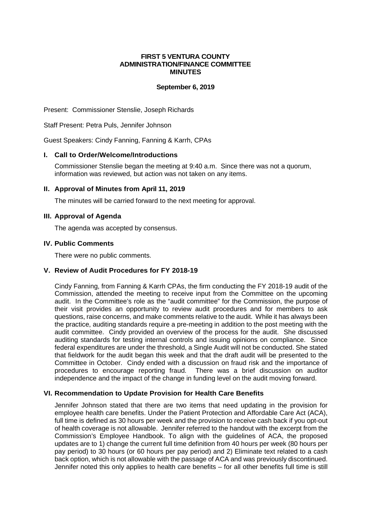## **FIRST 5 VENTURA COUNTY ADMINISTRATION/FINANCE COMMITTEE MINUTES**

## **September 6, 2019**

Present: Commissioner Stenslie, Joseph Richards

Staff Present: Petra Puls, Jennifer Johnson

Guest Speakers: Cindy Fanning, Fanning & Karrh, CPAs

## **I. Call to Order/Welcome/Introductions**

Commissioner Stenslie began the meeting at 9:40 a.m. Since there was not a quorum, information was reviewed, but action was not taken on any items.

### **II. Approval of Minutes from April 11, 2019**

The minutes will be carried forward to the next meeting for approval.

### **III. Approval of Agenda**

The agenda was accepted by consensus.

### **IV. Public Comments**

There were no public comments.

# **V. Review of Audit Procedures for FY 2018-19**

Cindy Fanning, from Fanning & Karrh CPAs, the firm conducting the FY 2018-19 audit of the Commission, attended the meeting to receive input from the Committee on the upcoming audit. In the Committee's role as the "audit committee" for the Commission, the purpose of their visit provides an opportunity to review audit procedures and for members to ask questions, raise concerns, and make comments relative to the audit. While it has always been the practice, auditing standards require a pre-meeting in addition to the post meeting with the audit committee. Cindy provided an overview of the process for the audit. She discussed auditing standards for testing internal controls and issuing opinions on compliance. Since federal expenditures are under the threshold, a Single Audit will not be conducted. She stated that fieldwork for the audit began this week and that the draft audit will be presented to the Committee in October. Cindy ended with a discussion on fraud risk and the importance of procedures to encourage reporting fraud. There was a brief discussion on auditor independence and the impact of the change in funding level on the audit moving forward.

### **VI. Recommendation to Update Provision for Health Care Benefits**

Jennifer Johnson stated that there are two items that need updating in the provision for employee health care benefits. Under the Patient Protection and Affordable Care Act (ACA), full time is defined as 30 hours per week and the provision to receive cash back if you opt-out of health coverage is not allowable. Jennifer referred to the handout with the excerpt from the Commission's Employee Handbook. To align with the guidelines of ACA, the proposed updates are to 1) change the current full time definition from 40 hours per week (80 hours per pay period) to 30 hours (or 60 hours per pay period) and 2) Eliminate text related to a cash back option, which is not allowable with the passage of ACA and was previously discontinued. Jennifer noted this only applies to health care benefits – for all other benefits full time is still